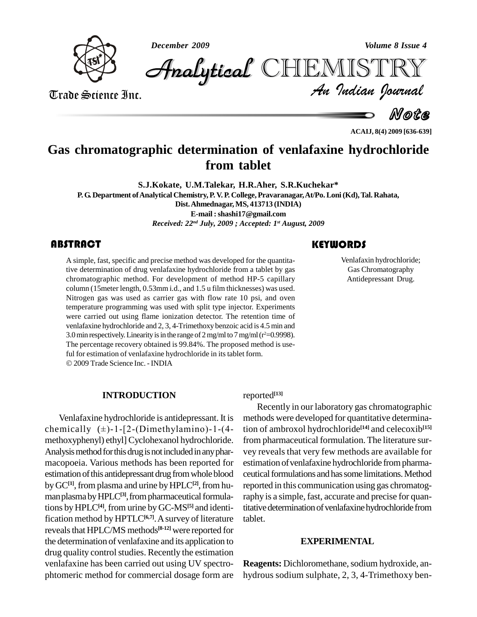*December 2009 Volume 8 Issue 4*



*Volume 8 Issue 4*<br>IISTRY<br>*Indian Iournal* CHEMISTRY

Trade Science Inc. Trade Science Inc.

Note

**ACAIJ, 8(4) 2009 [636-639]**

# **Gas chromatographic determination of venlafaxine hydrochloride from tablet**

**S.J.Kokate, U.M.Talekar, H.R.Aher, S.R.Kuchekar\* P. G. Department ofAnalytical Chemistry,P. V. P. College,Pravaranagar,At/Po.Loni(Kd),Tal. Rahata, Dist.Ahmednagar,MS, 413713 (INDIA) E-mail :[shashi17@gmail.com](mailto:shashi17@gmail.com)** *Received: 22 nd July, 2009 ; Accepted: 1 st August, 2009*

## **ABSTRACT**

A simple, fast, specific a<br>tive determination of dru<br>chromatographic metho A simple, fast, specific and precise method was developed for the quantitative determination of drug venlafaxine hydrochloride from a tablet by gas chromatographic method. For development of method HP-5 capillary column (15meter length, 0.53mm i.d., and 1.5 u film thicknesses) was used. Nitrogen gas was used as carrier gas with flow rate 10 psi, and oven temperature programming was used with split type injector. Experiments were carried out using flame ionization detector. The retention time of venlafaxine hydrochloride and 2, 3, 4-Trimethoxy benzoic acid is 4.5 min and 3.0 min respectively. Linearity is in the range of 2 mg/ml to 7 mg/ml  $(r^2=0.9998)$ . The percentage recovery obtained is99.84%. The proposed method is use-ful for estimation of venlafaxine hydrochloride in itstablet form. 2009 Trade Science Inc. -INDIA

## **KEYWORDS**

Venlafaxin hydroch<br>Gas Chromatogr<br>Antidepressant I Venlafaxin hydrochloride; Gas Chromatography Antidepressant Drug.

### **INTRODUCTION**

Venlafaxine hydrochloride is antidepressant. It is chemically  $(\pm)$ -1-[2-(Dimethylamino)-1-(4methoxyphenyl) ethyl] Cyclohexanol hydrochloride. Analysis method for this drug is not included in any pharmacopoeia. Various methods has been reported for estimation of this antidepressant drug from whole blood by GC<sup>[1]</sup>, from plasma and urine by HPLC<sup>[2]</sup>, from human plasma by HPLC<sup>[3]</sup>, from pharmaceutical formulations byHPLC**[4]**, from urine byGC-MS **[5]** and identification method by HPTLC<sup>[6,7]</sup>. A survey of literature reveals that HPLC/MS methods<sup>[8-12]</sup> were reported for the determination of venlafaxine and its application to drug quality control studies. Recently the estimation venlafaxine has been carried out using UV spectro phtomeric method for commercial dosage form are

### reported **[13]**

Recently in our laboratory gas chromatographic methods were developed for quantitative determination of ambroxol hydrochloride **[14]** and celecoxib **[15]** from pharmaceutical formulation. The literature sur vey reveals that very few methods are available for estimation ofvenlafaxine hydrochloride frompharma ceutical formulations and has some limitations. Method reported in this communication using gas chromatography is a simple, fast, accurate and precise for quantitative determination of venlafaxine hydrochloride from tablet.

#### **EXPERIMENTAL**

**Reagents:** Dichloromethane, sodium hydroxide, anhydrous sodium sulphate, 2, 3, 4-Trimethoxy ben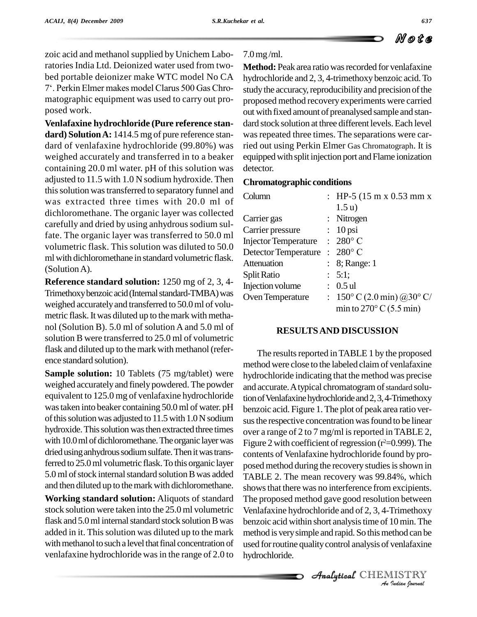zoic acid and methanol supplied by Unichem Laboratories India Ltd. Deionized water used from two bed portable deionizer make WTC model No CA hydrochlor ratories India Ltd. Deionized water used from two-<br>bed portable deionizer make WTC model No CA hyd<br>7'. Perkin Elmer makes model Clarus 500 Gas Chromatographic equipment was used to carry out pro posed work.

**Venlafaxine hydrochloride (Pure reference stan dard) SolutionA:** 1414.5 mg of pure reference stan dard of venlafaxine hydrochloride (99.80%) was weighed accurately and transferred in to a beaker containing 20.0 ml water. pH of this solution was adjusted to 11.5 with 1.0 N sodium hydroxide. Then this solution was transferred to separatory funnel and was extracted three times with 20.0 ml of dichloromethane. The organic layer was collected carefully and dried by using anhydrous sodium sulfate. The organic layer was transferred to 50.0 ml volumetric flask. This solution was diluted to 50.0 mlwith dichloromethane in standard volumetric flask. (SolutionA).

**Reference standard solution:** 1250 mg of 2, 3, 4- Trimethoxybenzoicacid(Internalstandard-TMBA)was weighed accuratelyand transferred to 50.0ml of volu metric flask. It was diluted up to the mark with methanol (Solution B). 5.0 ml of solution A and 5.0 ml of solution B were transferred to 25.0 ml of volumetric flask and diluted up to the mark with methanol (reference standard solution).

**Sample solution:** 10 Tablets (75 mg/tablet) were weighed accurately and finely powdered. The powder equivalent to 125.0 mg of venlafaxine hydrochloride wastaken into beaker containing 50.0 ml of water. pH of this solution was adjusted to  $11.5$  with  $1.0$  N sodium hydroxide. This solution was then extracted three times with 10.0 ml of dichloromethane. The organic layer was dried using anhydrous sodium sulfate. Then it was transferred to 25.0ml volumetric flask.To this organic layer 5.0 ml of stock internal standard solution B was added and then diluted up to themark with dichloromethane.

**Working standard solution:** Aliquots of standard stock solution were taken into the 25.0 ml volumetric flask and 5.0 ml internal standard stock solution B was added in it. This solution was diluted up to the mark with methanol to such a level that final concentration of venlafaxine hydrochloride wasin the range of 2.0 to

## 7.0mg /ml.

**Method:** Peak area ratio was recorded for venlafaxine hydrochloride and 2, 3, 4-trimethoxy benzoic acid. To study the accuracy, reproducibility and precision of the proposed method recovery experiments were carried out with fixed amount of preanalysed sample and stan dard stock solution at three different levels. Each level was repeated three times. The separations were carried out using Perkin Elmer Gas Chromatograph. It is equipped with split injection port and Flame ionization detector.

## **Chromatographic conditions**

| Column                        | : HP-5 $(15 \text{ m x } 0.53 \text{ mm x})$ |
|-------------------------------|----------------------------------------------|
|                               | 1.5 u)                                       |
| Carrier gas                   | : Nitrogen                                   |
| Carrier pressure              | $: 10 \text{ psi}$                           |
| <b>Injector Temperature</b>   | $: 280^{\circ}$ C                            |
| Detector Temperature : 280° C |                                              |
| <b>Attenuation</b>            | $: 8;$ Range: 1                              |
| <b>Split Ratio</b>            | : 5:1;                                       |
| Injection volume              | $: 0.5$ ul                                   |
| Oven Temperature              | : 150° C (2.0 min) @ 30° C/                  |
|                               | min to $270^{\circ}$ C (5.5 min)             |

## **RESULTSAND DISCUSSION**

benzoic acid within short analysis time of 10 min. The *IO* min. The<br>*i*thod can be<br>venlafaxine<br>**IISTRY** The results reported in TABLE 1 by the proposed method were close to the labeled claim of venlafaxine hydrochloride indicating that the method was precise and accurate. A typical chromatogram of standard solution of Venlafaxine hydrochloride and 2, 3, 4-Trimethoxy benzoic acid. Figure 1. The plot of peak area ratio ver sus the respective concentration was found to be linear over a range of 2 to 7 mg/ml is reported in TABLE 2, Figure 2 with coefficient of regression ( $r^2$ =0.999). The contents of Venlafaxine hydrochloride found by pro posed method during the recovery studies is shown in TABLE 2. The mean recovery was 99.84%, which shows that there was no interference from excipients. The proposed method gave good resolution between Venlafaxine hydrochloride and of 2, 3, 4-Trimethoxy method is very simple and rapid. So this method can be used for routine quality control analysis of venlafaxine hydrochloride.

CHEMISTRY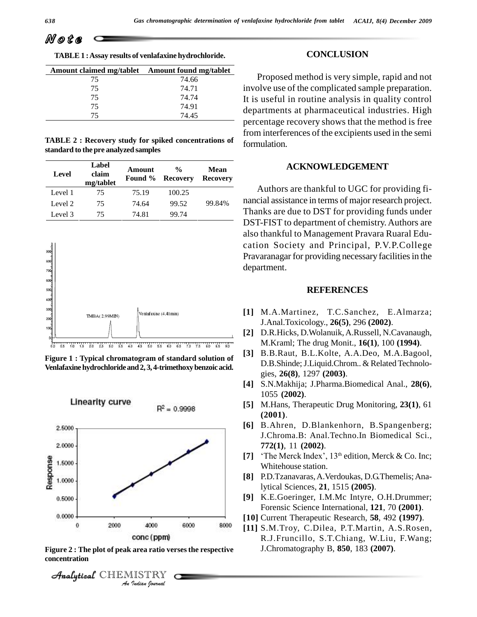## M o t e

**TABLE1 :Assay results of venlafaxine hydrochloride.**

| Amount claimed mg/tablet Amount found mg/tablet |       |    |
|-------------------------------------------------|-------|----|
| 75                                              | 74.66 |    |
| 75                                              | 74.71 | ır |
| 75                                              | 74.74 |    |
| 75                                              | 74.91 | d١ |
| 75                                              | 74.45 |    |

**TABLE 2 : Recovery study for spiked concentrations of standard to the pre analyzed samples**

| Level   | Label<br>claim<br>mg/tablet | Amount | $\frac{0}{0}$<br>Found % Recovery | <b>Mean</b><br><b>Recovery</b> |
|---------|-----------------------------|--------|-----------------------------------|--------------------------------|
| Level 1 | 75                          | 75.19  | 100.25                            |                                |
| Level 2 | 75                          | 74.64  | 99.52                             | 99.84%                         |
| Level 3 | 75                          | 74.81  | 99.74                             |                                |



**Figure 1 : Typical chromatogram of standard solution of** Venlafaxine hydrochloride and 2, 3, 4-trimethoxy benzoic acid.



**concentration**

#### **CONCLUSION**

Proposed method is very simple, rapid and not involve use of the complicated sample preparation. It is useful in routine analysis in quality control departments at pharmaceutical industries. High percentage recovery shows that the method is free from interferences of the excipients used in the semi formulation.

#### **ACKNOWLEDGEMENT**

Authors are thankful to UGC for providing fi-<br>99.84% nancial assistance in terms of major research project. Thanks are due to DST for providing funds under DST-FIST to department of chemistry. Authors are also thankful to Management Pravara Ruaral Edu cation Society and Principal, P.V.P.College Pravaranagar for providing necessary facilities in the department.

#### **REFERENCES**

- **[1]** M.A.Martinez, T.C.Sanchez, E.Almarza; J.Anal.Toxicology., **26(5)**, 296 **(2002)**.
- **[2]** D.R.Hicks, D.Wolanuik,A.Russell, N.Cavanaugh, M.Kraml; The drug Monit., **16(1)**, 100 **(1994)**.
- **[3]** B.B.Raut, B.L.Kolte, A.A.Deo, M.A.Bagool, D.B.Shinde; J.Liquid.Chrom.. & Related Technologies, **26(8)**, 1297 **(2003)**.
- **[4]** S.N.Makhija; J.Pharma.Biomedical Anal., **28(6)**, 1055 **(2002)**.
- **[5]** M.Hans, Therapeutic Drug Monitoring, **23(1)**, 61 **(2001)**.
- **[6]** B.Ahren, D.Blankenhorn, B.Spangenberg; J.Chroma.B: Anal.Techno.In Biomedical Sci., **772(1)**, 11 **(2002)**. J.Chroma.B: Anal.Techno.In Biomedical Sci.,<br>**772(1)**, 11 (**2002**).<br>**[7]** 'The Merck Index', 13<sup>th</sup> edition, Merck & Co. Inc;
- Whitehouse station.
- **[8]** P.D.Tzanavaras,A.Verdoukas, D.G.Themelis;Analytical Sciences, **21**, 1515 **(2005)**.
- **[9]** K.E.Goeringer, I.M.Mc Intyre, O.H.Drummer; Forensic Science International, **121**, 70 **(2001)**.
- **[10]** Current Therapeutic Research, **58**, 492 **(1997)**.
- **[11]** S.M.Troy, C.Dilea, P.T.Martin, A.S.Rosen, R.J.Fruncillo, S.T.Chiang, W.Liu, F.Wang; **Figure 2 : The plot of peak area ratio versesthe respective** J.Chromatography B, **850**, 183 **(2007)**.

CHEMISTRY